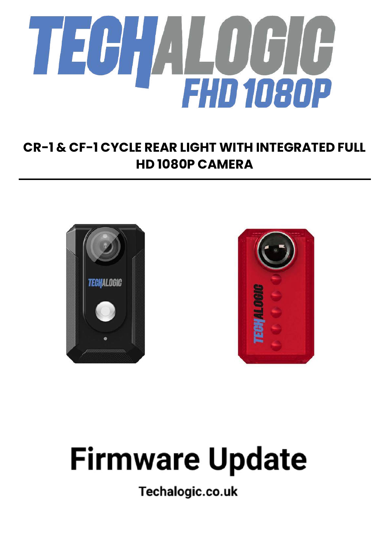

### **CR-1 & CF-1 CYCLE REAR LIGHT WITH INTEGRATED FULL HD 1080P CAMERA**





# **Firmware Update**

Techalogic.co.uk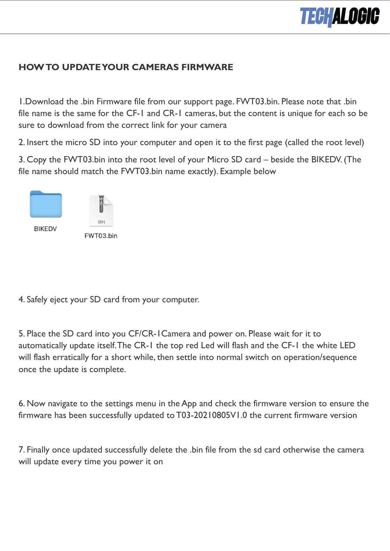

#### **HOWTO UPDATEYOUR CAMERAS FIRMWARE**

1.Download the .bin Firmware file from our support page. FWT03.bin. Please note that .bin file name is the same for the CF-1 and CR-1 cameras, but the content is unique for each so be sure to download from the correct link for your camera

2. Insert the micro SD into your computer and open it to the first page (called the root level)

3. Copy the FWT03.bin into the root level of your Micro SD card – beside the BIKEDV. (The file name should match the FWT03.bin name exactly). Example below



4. Safely eject your SD card from your computer.

5. Place the SD card into you CF/CR-1Camera and power on. Please wait for it to automatically update itself.The CR-1 the top red Led will flash and the CF-1 the white LED will flash erratically for a short while, then settle into normal switch on operation/sequence once the update is complete.

6. Now navigate to the settings menu in the App and check the firmware version to ensure the firmware has been successfully updated to T03-20210805V1.0 the current firmware version

7. Finally once updated successfully delete the .bin file from the sd card otherwise the camera will update every time you power it on